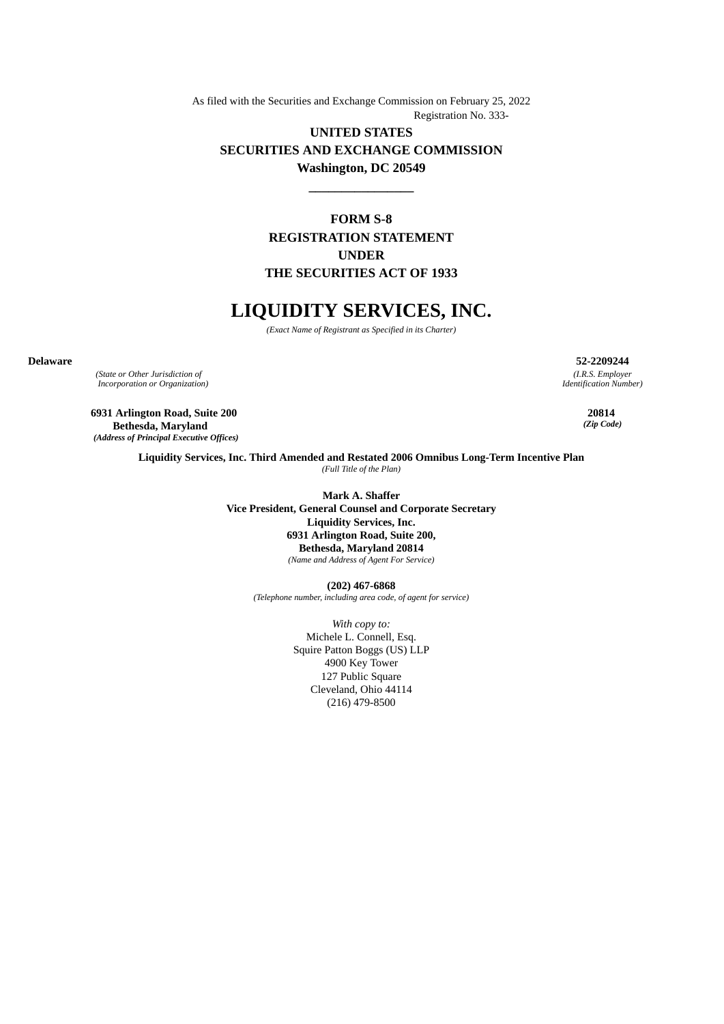As filed with the Securities and Exchange Commission on February 25, 2022 Registration No. 333-

# **UNITED STATES SECURITIES AND EXCHANGE COMMISSION Washington, DC 20549**

**\_\_\_\_\_\_\_\_\_\_\_\_\_\_\_\_**

**FORM S-8 REGISTRATION STATEMENT UNDER THE SECURITIES ACT OF 1933**

# **LIQUIDITY SERVICES, INC.**

*(Exact Name of Registrant as Specified in its Charter)*

*(State or Other Jurisdiction of Incorporation or Organization)*

**6931 Arlington Road, Suite 200 Bethesda, Maryland** *(Address of Principal Executive Offices)*

**Delaware 52-2209244** *(I.R.S. Employer Identification Number)*

> **20814** *(Zip Code)*

**Liquidity Services, Inc. Third Amended and Restated 2006 Omnibus Long-Term Incentive Plan** *(Full Title of the Plan)*

> **Mark A. Shaffer Vice President, General Counsel and Corporate Secretary Liquidity Services, Inc. 6931 Arlington Road, Suite 200, Bethesda, Maryland 20814** *(Name and Address of Agent For Service)*

> > **(202) 467-6868** *(Telephone number, including area code, of agent for service)*

> > > *With copy to:* Michele L. Connell, Esq. Squire Patton Boggs (US) LLP 4900 Key Tower 127 Public Square Cleveland, Ohio 44114 (216) 479-8500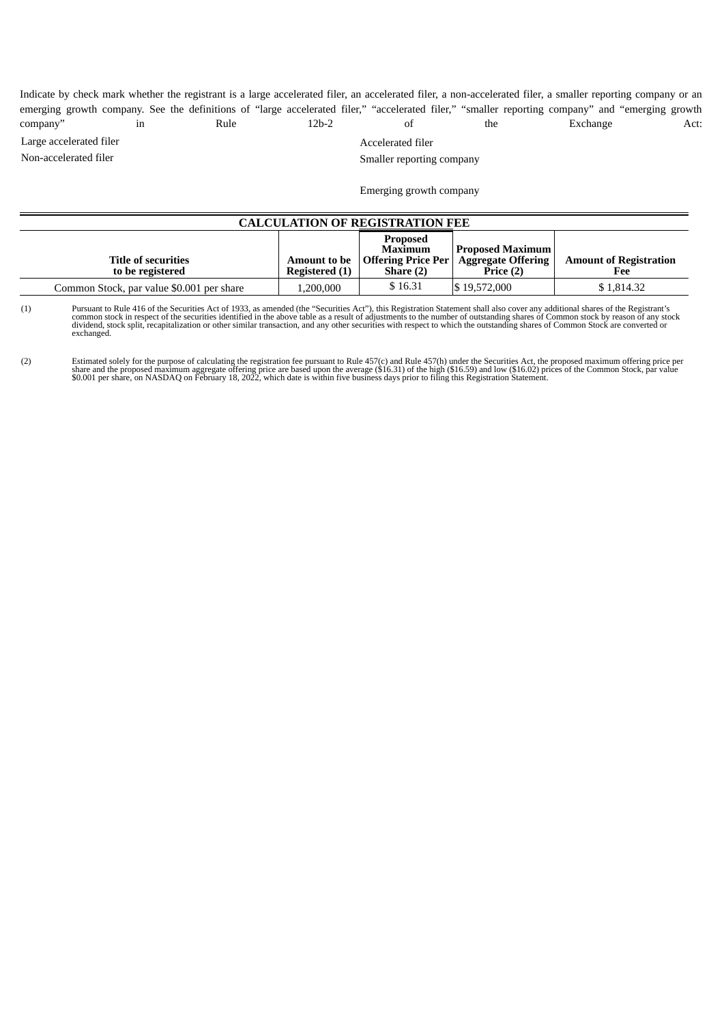Indicate by check mark whether the registrant is a large accelerated filer, an accelerated filer, a non-accelerated filer, a smaller reporting company or an emerging growth company. See the definitions of "large accelerated filer," "accelerated filer," "smaller reporting company" and "emerging growth company" in Rule 12b-2 of the Exchange Act:

Large accelerated filer and the method of the Accelerated filer

Non-accelerated filer states and the Smaller reporting company

Emerging growth company

| <b>CALCULATION OF REGISTRATION FEE</b>         |                |                                                                                       |                                                                   |                                      |  |  |  |
|------------------------------------------------|----------------|---------------------------------------------------------------------------------------|-------------------------------------------------------------------|--------------------------------------|--|--|--|
| <b>Title of securities</b><br>to be registered | Registered (1) | <b>Proposed</b><br>Maximum<br><b>Amount to be</b>   Offering Price Per  <br>Share (2) | <b>Proposed Maximum</b><br><b>Aggregate Offering</b><br>Price (2) | <b>Amount of Registration</b><br>Fee |  |  |  |
| Common Stock, par value \$0.001 per share      | 1,200,000      | \$16.31                                                                               | \$19,572,000                                                      | \$1,814.32                           |  |  |  |

(1) Pursuant to Rule 416 of the Securities Act of 1933, as amended (the "Securities Act"), this Registration Statement shall also cover any additional shares of the Registrant's<br>common stock in respect of the securities id exchanged.

(2) Estimated solely for the purpose of calculating the registration fee pursuant to Rule 457(c) and Rule 457(h) under the Securities Act, the proposed maximum offering price per<br>1991 Share and the proposed maximum aggrega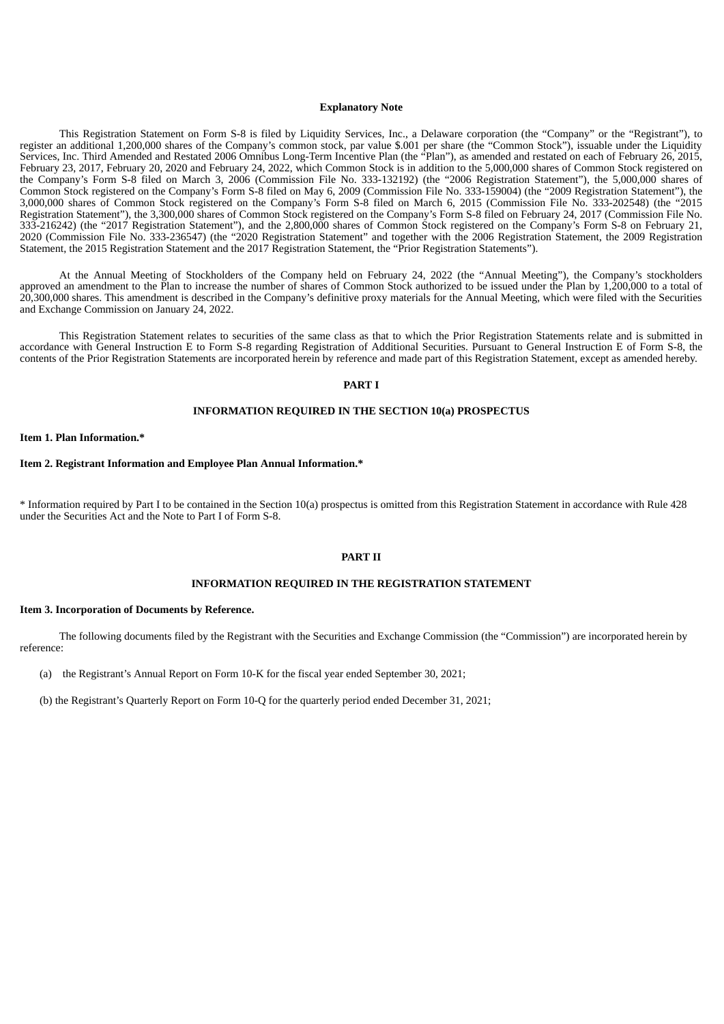#### **Explanatory Note**

This Registration Statement on Form S-8 is filed by Liquidity Services, Inc., a Delaware corporation (the "Company" or the "Registrant"), to register an additional 1,200,000 shares of the Company's common stock, par value \$.001 per share (the "Common Stock"), issuable under the Liquidity Services, Inc. Third Amended and Restated 2006 Omnibus Long-Term Incentive Plan (the "Plan"), as amended and restated on each of February 26, 2015, February 23, 2017, February 20, 2020 and February 24, 2022, which Common Stock is in addition to the 5,000,000 shares of Common Stock registered on the Company's Form S-8 filed on March 3, 2006 (Commission File No. 333-132192) (the "2006 Registration Statement"), the 5,000,000 shares of Common Stock registered on the Company's Form S-8 filed on May 6, 2009 (Commission File No. 333-159004) (the "2009 Registration Statement"), the 3,000,000 shares of Common Stock registered on the Company's Form S-8 filed on March 6, 2015 (Commission File No. 333-202548) (the "2015 Registration Statement"), the 3,300,000 shares of Common Stock registered on the Company's Form S-8 filed on February 24, 2017 (Commission File No. 333-216242) (the "2017 Registration Statement"), and the 2,800,000 shares of Common Stock registered on the Company's Form S-8 on February 21, 2020 (Commission File No. 333-236547) (the "2020 Registration Statement" and together with the 2006 Registration Statement, the 2009 Registration Statement, the 2015 Registration Statement and the 2017 Registration Statement, the "Prior Registration Statements").

At the Annual Meeting of Stockholders of the Company held on February 24, 2022 (the "Annual Meeting"), the Company's stockholders approved an amendment to the Plan to increase the number of shares of Common Stock authorized to be issued under the Plan by 1,200,000 to a total of 20,300,000 shares. This amendment is described in the Company's definitive proxy materials for the Annual Meeting, which were filed with the Securities and Exchange Commission on January 24, 2022.

This Registration Statement relates to securities of the same class as that to which the Prior Registration Statements relate and is submitted in accordance with General Instruction E to Form S-8 regarding Registration of Additional Securities. Pursuant to General Instruction E of Form S-8, the contents of the Prior Registration Statements are incorporated herein by reference and made part of this Registration Statement, except as amended hereby.

#### **PART I**

# **INFORMATION REQUIRED IN THE SECTION 10(a) PROSPECTUS**

**Item 1. Plan Information.\***

#### **Item 2. Registrant Information and Employee Plan Annual Information.\***

\* Information required by Part I to be contained in the Section 10(a) prospectus is omitted from this Registration Statement in accordance with Rule 428 under the Securities Act and the Note to Part I of Form S-8.

#### **PART II**

#### **INFORMATION REQUIRED IN THE REGISTRATION STATEMENT**

#### **Item 3. Incorporation of Documents by Reference.**

The following documents filed by the Registrant with the Securities and Exchange Commission (the "Commission") are incorporated herein by reference:

(a) the Registrant's Annual Report on Form 10-K for the fiscal year ended September 30, 2021;

(b) the Registrant's Quarterly Report on Form 10-Q for the quarterly period ended December 31, 2021;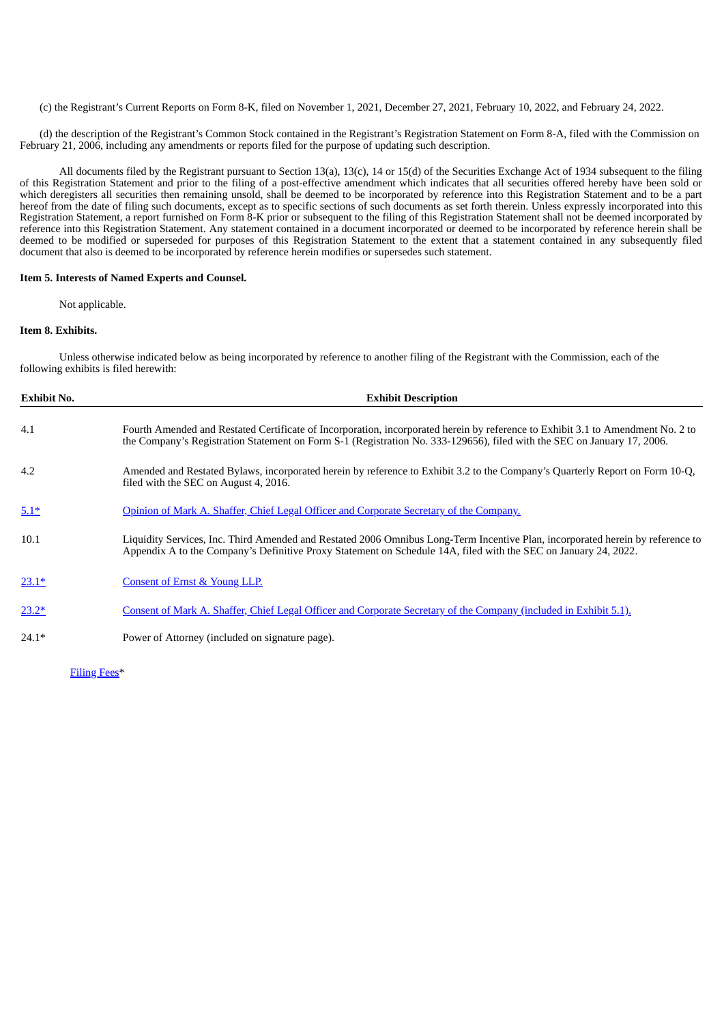(c) the Registrant's Current Reports on Form 8-K, filed on November 1, 2021, December 27, 2021, February 10, 2022, and February 24, 2022.

(d) the description of the Registrant's Common Stock contained in the Registrant's Registration Statement on Form 8-A, filed with the Commission on February 21, 2006, including any amendments or reports filed for the purpose of updating such description.

All documents filed by the Registrant pursuant to Section 13(a), 13(c), 14 or 15(d) of the Securities Exchange Act of 1934 subsequent to the filing of this Registration Statement and prior to the filing of a post-effective amendment which indicates that all securities offered hereby have been sold or which deregisters all securities then remaining unsold, shall be deemed to be incorporated by reference into this Registration Statement and to be a part hereof from the date of filing such documents, except as to specific sections of such documents as set forth therein. Unless expressly incorporated into this Registration Statement, a report furnished on Form 8-K prior or subsequent to the filing of this Registration Statement shall not be deemed incorporated by reference into this Registration Statement. Any statement contained in a document incorporated or deemed to be incorporated by reference herein shall be deemed to be modified or superseded for purposes of this Registration Statement to the extent that a statement contained in any subsequently filed document that also is deemed to be incorporated by reference herein modifies or supersedes such statement.

## **Item 5. Interests of Named Experts and Counsel.**

Not applicable.

#### **Item 8. Exhibits.**

Unless otherwise indicated below as being incorporated by reference to another filing of the Registrant with the Commission, each of the following exhibits is filed herewith:

| <b>Exhibit No.</b> | <b>Exhibit Description</b>                                                                                                                                                                                                                                 |  |  |
|--------------------|------------------------------------------------------------------------------------------------------------------------------------------------------------------------------------------------------------------------------------------------------------|--|--|
| 4.1                | Fourth Amended and Restated Certificate of Incorporation, incorporated herein by reference to Exhibit 3.1 to Amendment No. 2 to<br>the Company's Registration Statement on Form S-1 (Registration No. 333-129656), filed with the SEC on January 17, 2006. |  |  |
| 4.2                | Amended and Restated Bylaws, incorporated herein by reference to Exhibit 3.2 to the Company's Quarterly Report on Form 10-Q,<br>filed with the SEC on August 4, 2016.                                                                                      |  |  |
| $5.1*$             | Opinion of Mark A. Shaffer, Chief Legal Officer and Corporate Secretary of the Company.                                                                                                                                                                    |  |  |
| 10.1               | Liquidity Services, Inc. Third Amended and Restated 2006 Omnibus Long-Term Incentive Plan, incorporated herein by reference to<br>Appendix A to the Company's Definitive Proxy Statement on Schedule 14A, filed with the SEC on January 24, 2022.          |  |  |
| $23.1*$            | <b>Consent of Ernst &amp; Young LLP.</b>                                                                                                                                                                                                                   |  |  |
| $23.2*$            | Consent of Mark A. Shaffer, Chief Legal Officer and Corporate Secretary of the Company (included in Exhibit 5.1).                                                                                                                                          |  |  |
| $24.1*$            | Power of Attorney (included on signature page).                                                                                                                                                                                                            |  |  |
|                    |                                                                                                                                                                                                                                                            |  |  |

[Filing](#page-7-0) Fees\*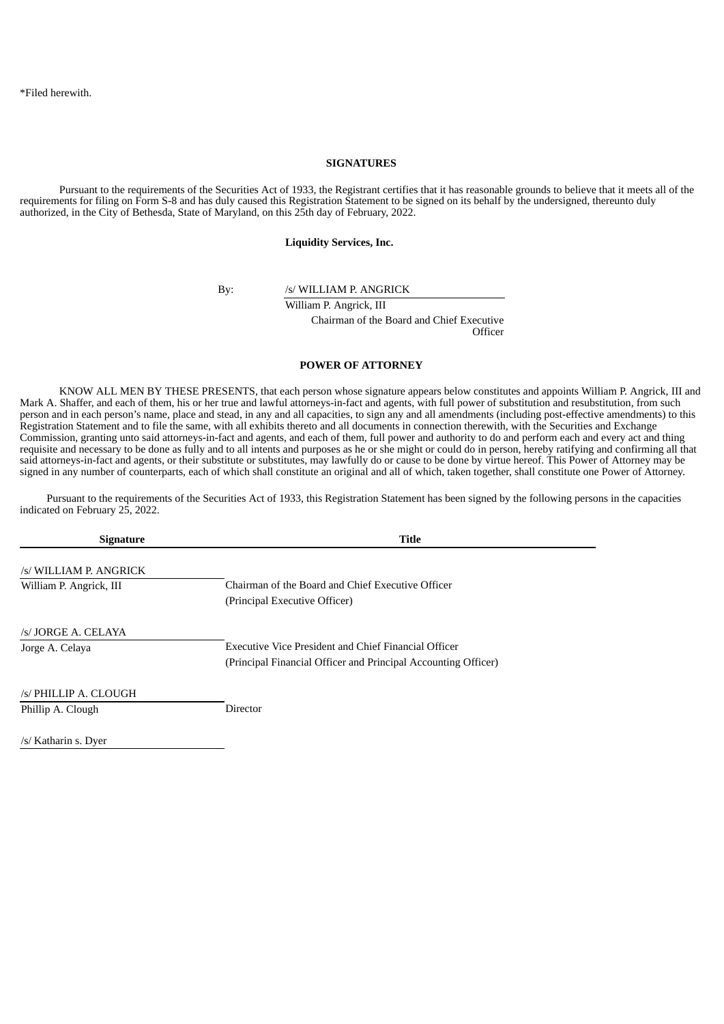#### **SIGNATURES**

Pursuant to the requirements of the Securities Act of 1933, the Registrant certifies that it has reasonable grounds to believe that it meets all of the requirements for filing on Form S-8 and has duly caused this Registration Statement to be signed on its behalf by the undersigned, thereunto duly authorized, in the City of Bethesda, State of Maryland, on this 25th day of February, 2022.

**Liquidity Services, Inc.**

By: /s/ WILLIAM P. ANGRICK

William P. Angrick, III Chairman of the Board and Chief Executive **Officer** 

## **POWER OF ATTORNEY**

KNOW ALL MEN BY THESE PRESENTS, that each person whose signature appears below constitutes and appoints William P. Angrick, III and Mark A. Shaffer, and each of them, his or her true and lawful attorneys-in-fact and agents, with full power of substitution and resubstitution, from such person and in each person's name, place and stead, in any and all capacities, to sign any and all amendments (including post-effective amendments) to this Registration Statement and to file the same, with all exhibits thereto and all documents in connection therewith, with the Securities and Exchange Commission, granting unto said attorneys-in-fact and agents, and each of them, full power and authority to do and perform each and every act and thing requisite and necessary to be done as fully and to all intents and purposes as he or she might or could do in person, hereby ratifying and confirming all that said attorneys-in-fact and agents, or their substitute or substitutes, may lawfully do or cause to be done by virtue hereof. This Power of Attorney may be signed in any number of counterparts, each of which shall constitute an original and all of which, taken together, shall constitute one Power of Attorney.

Pursuant to the requirements of the Securities Act of 1933, this Registration Statement has been signed by the following persons in the capacities indicated on February 25, 2022.

| <b>Signature</b>        | Title                                                          |  |  |
|-------------------------|----------------------------------------------------------------|--|--|
| /s/ WILLIAM P. ANGRICK  |                                                                |  |  |
| William P. Angrick, III | Chairman of the Board and Chief Executive Officer              |  |  |
|                         | (Principal Executive Officer)                                  |  |  |
| /s/ JORGE A. CELAYA     |                                                                |  |  |
| Jorge A. Celaya         | Executive Vice President and Chief Financial Officer           |  |  |
|                         | (Principal Financial Officer and Principal Accounting Officer) |  |  |
| /s/ PHILLIP A. CLOUGH   |                                                                |  |  |
| Phillip A. Clough       | <b>Director</b>                                                |  |  |
| /s/ Katharin s. Dyer    |                                                                |  |  |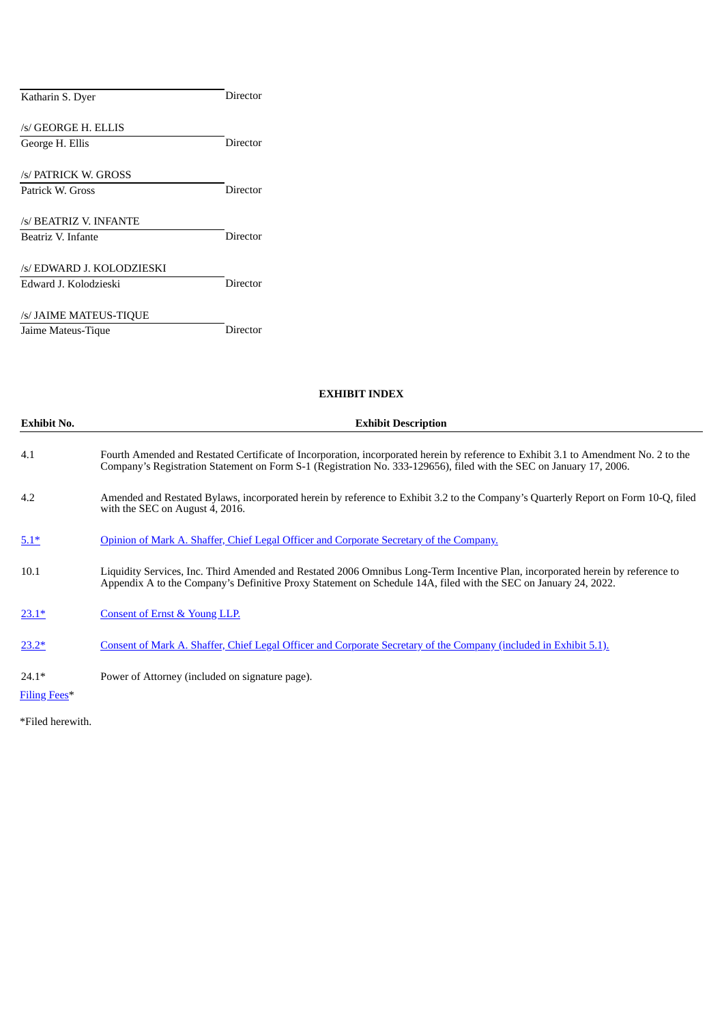| Katharin S. Dyer          | Director |
|---------------------------|----------|
| /s/ GEORGE H. ELLIS       |          |
| George H. Ellis           | Director |
| s/ PATRICK W. GROSS       |          |
| Patrick W. Gross          | Director |
| /s/ BEATRIZ V. INFANTE    |          |
| Beatriz V. Infante        | Director |
| /s/ EDWARD J. KOLODZIESKI |          |
| Edward J. Kolodzieski     | Director |
| /s/ JAIME MATEUS-TIQUE    |          |
| Jaime Mateus-Tique        | Director |

# **EXHIBIT INDEX**

| <b>Exhibit No.</b> | <b>Exhibit Description</b>                                                                                                                                                                                                                                 |  |  |  |  |
|--------------------|------------------------------------------------------------------------------------------------------------------------------------------------------------------------------------------------------------------------------------------------------------|--|--|--|--|
| 4.1                | Fourth Amended and Restated Certificate of Incorporation, incorporated herein by reference to Exhibit 3.1 to Amendment No. 2 to the<br>Company's Registration Statement on Form S-1 (Registration No. 333-129656), filed with the SEC on January 17, 2006. |  |  |  |  |
| 4.2                | Amended and Restated Bylaws, incorporated herein by reference to Exhibit 3.2 to the Company's Quarterly Report on Form 10-Q, filed<br>with the SEC on August 4, 2016.                                                                                      |  |  |  |  |
| $5.1*$             | Opinion of Mark A. Shaffer, Chief Legal Officer and Corporate Secretary of the Company.                                                                                                                                                                    |  |  |  |  |
| 10.1               | Liquidity Services, Inc. Third Amended and Restated 2006 Omnibus Long-Term Incentive Plan, incorporated herein by reference to<br>Appendix A to the Company's Definitive Proxy Statement on Schedule 14A, filed with the SEC on January 24, 2022.          |  |  |  |  |
| $23.1*$            | <b>Consent of Ernst &amp; Young LLP.</b>                                                                                                                                                                                                                   |  |  |  |  |
| $23.2*$            | Consent of Mark A. Shaffer, Chief Legal Officer and Corporate Secretary of the Company (included in Exhibit 5.1).                                                                                                                                          |  |  |  |  |
| $24.1*$            | Power of Attorney (included on signature page).                                                                                                                                                                                                            |  |  |  |  |

[Filing](#page-7-0) Fees\*

\*Filed herewith.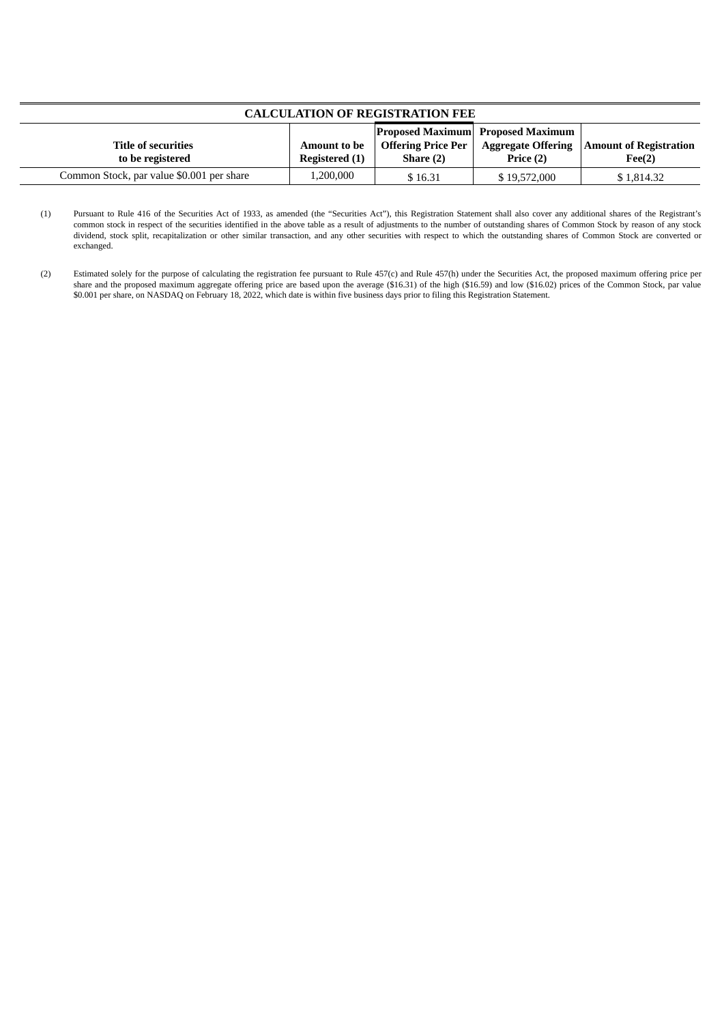<span id="page-7-0"></span>

| <b>CALCULATION OF REGISTRATION FEE</b>         |                                       |                                        |                                                       |                                                              |  |  |
|------------------------------------------------|---------------------------------------|----------------------------------------|-------------------------------------------------------|--------------------------------------------------------------|--|--|
| <b>Title of securities</b><br>to be registered | <b>Amount to be</b><br>Registered (1) | <b>Offering Price Per</b><br>Share (2) | <b>Proposed Maximum Proposed Maximum</b><br>Price (2) | <b>Aggregate Offering   Amount of Registration</b><br>Fee(2) |  |  |
| Common Stock, par value \$0.001 per share      | ,200,000                              | \$16.31                                | \$19,572,000                                          | \$1,814.32                                                   |  |  |

<sup>(1)</sup> Pursuant to Rule 416 of the Securities Act of 1933, as amended (the "Securities Act"), this Registration Statement shall also cover any additional shares of the Registrant's common stock in respect of the securities identified in the above table as a result of adjustments to the number of outstanding shares of Common Stock by reason of any stock dividend, stock split, recapitalization or other similar transaction, and any other securities with respect to which the outstanding shares of Common Stock are converted or exchanged.

<sup>(2)</sup> Estimated solely for the purpose of calculating the registration fee pursuant to Rule 457(c) and Rule 457(h) under the Securities Act, the proposed maximum offering price per share and the proposed maximum aggregate offering price are based upon the average (\$16.31) of the high (\$16.59) and low (\$16.02) prices of the Common Stock, par value \$0.001 per share, on NASDAQ on February 18, 2022, which date is within five business days prior to filing this Registration Statement.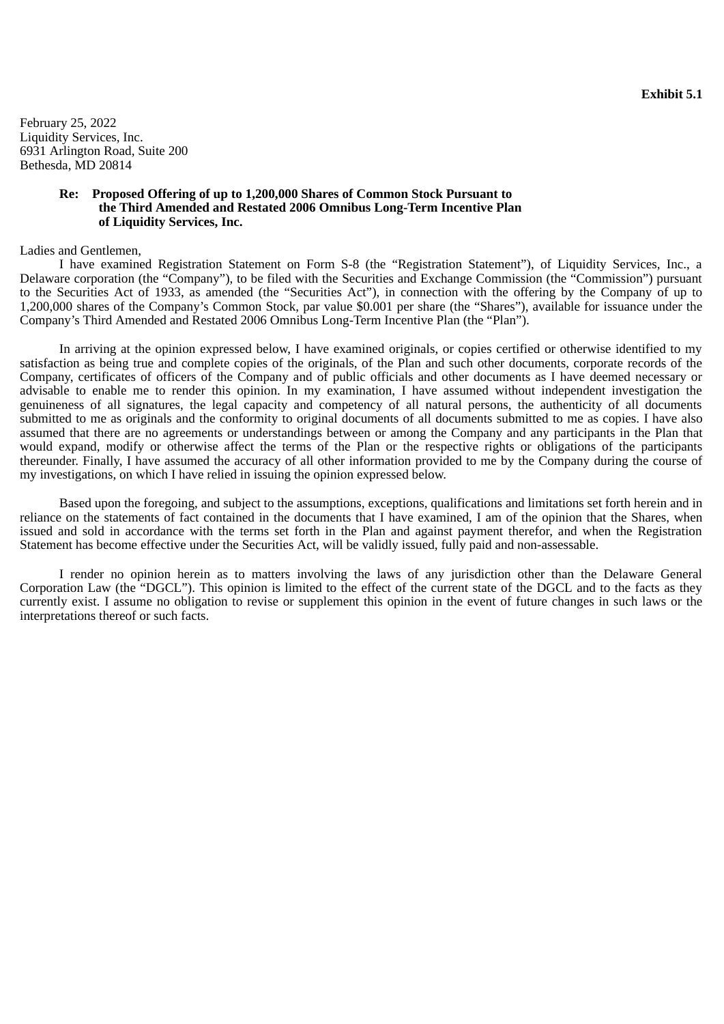<span id="page-8-0"></span>February 25, 2022 Liquidity Services, Inc. 6931 Arlington Road, Suite 200 Bethesda, MD 20814

## **Re: Proposed Offering of up to 1,200,000 Shares of Common Stock Pursuant to the Third Amended and Restated 2006 Omnibus Long-Term Incentive Plan of Liquidity Services, Inc.**

## Ladies and Gentlemen,

I have examined Registration Statement on Form S-8 (the "Registration Statement"), of Liquidity Services, Inc., a Delaware corporation (the "Company"), to be filed with the Securities and Exchange Commission (the "Commission") pursuant to the Securities Act of 1933, as amended (the "Securities Act"), in connection with the offering by the Company of up to 1,200,000 shares of the Company's Common Stock, par value \$0.001 per share (the "Shares"), available for issuance under the Company's Third Amended and Restated 2006 Omnibus Long-Term Incentive Plan (the "Plan").

In arriving at the opinion expressed below, I have examined originals, or copies certified or otherwise identified to my satisfaction as being true and complete copies of the originals, of the Plan and such other documents, corporate records of the Company, certificates of officers of the Company and of public officials and other documents as I have deemed necessary or advisable to enable me to render this opinion. In my examination, I have assumed without independent investigation the genuineness of all signatures, the legal capacity and competency of all natural persons, the authenticity of all documents submitted to me as originals and the conformity to original documents of all documents submitted to me as copies. I have also assumed that there are no agreements or understandings between or among the Company and any participants in the Plan that would expand, modify or otherwise affect the terms of the Plan or the respective rights or obligations of the participants thereunder. Finally, I have assumed the accuracy of all other information provided to me by the Company during the course of my investigations, on which I have relied in issuing the opinion expressed below.

Based upon the foregoing, and subject to the assumptions, exceptions, qualifications and limitations set forth herein and in reliance on the statements of fact contained in the documents that I have examined, I am of the opinion that the Shares, when issued and sold in accordance with the terms set forth in the Plan and against payment therefor, and when the Registration Statement has become effective under the Securities Act, will be validly issued, fully paid and non-assessable.

I render no opinion herein as to matters involving the laws of any jurisdiction other than the Delaware General Corporation Law (the "DGCL"). This opinion is limited to the effect of the current state of the DGCL and to the facts as they currently exist. I assume no obligation to revise or supplement this opinion in the event of future changes in such laws or the interpretations thereof or such facts.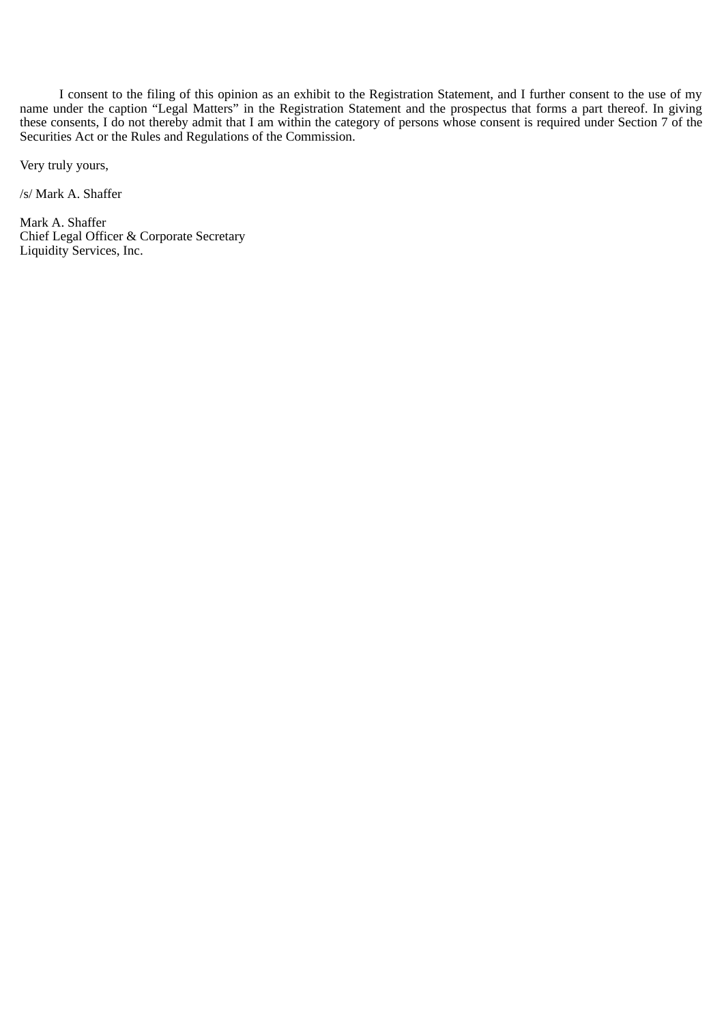I consent to the filing of this opinion as an exhibit to the Registration Statement, and I further consent to the use of my name under the caption "Legal Matters" in the Registration Statement and the prospectus that forms a part thereof. In giving these consents, I do not thereby admit that I am within the category of persons whose consent is required under Section 7 of the Securities Act or the Rules and Regulations of the Commission.

Very truly yours,

/s/ Mark A. Shaffer

Mark A. Shaffer Chief Legal Officer & Corporate Secretary Liquidity Services, Inc.